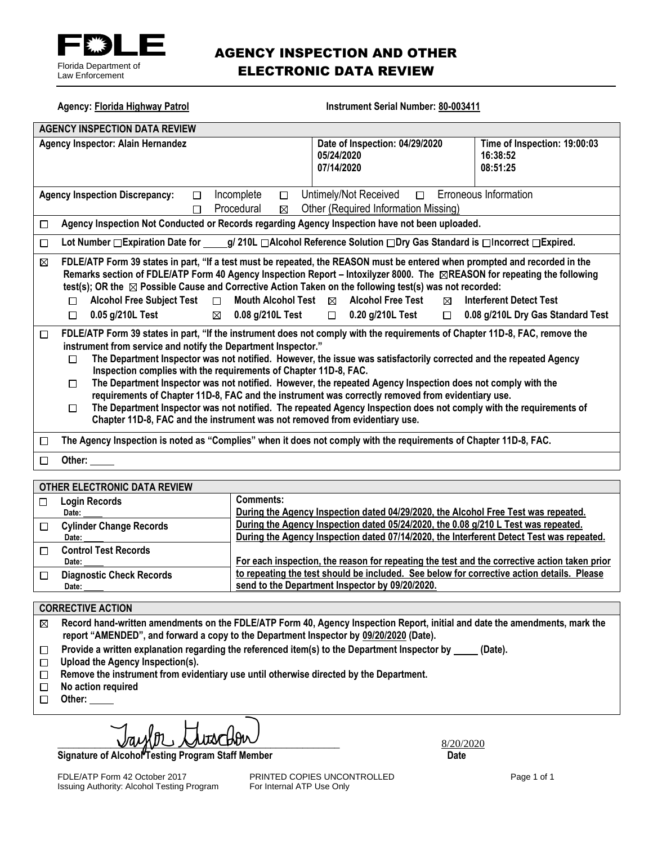

#### AGENCY INSPECTION AND OTHER ELECTRONIC DATA REVIEW

| <b>Agency: Florida Highway Patrol</b>                                                                                                                                                                                                                                                                                                                                                                                                                                                                                                                                                                                                                                                                                                                                                                                                              | <b>Instrument Serial Number: 80-003411</b>                              |                                                                     |
|----------------------------------------------------------------------------------------------------------------------------------------------------------------------------------------------------------------------------------------------------------------------------------------------------------------------------------------------------------------------------------------------------------------------------------------------------------------------------------------------------------------------------------------------------------------------------------------------------------------------------------------------------------------------------------------------------------------------------------------------------------------------------------------------------------------------------------------------------|-------------------------------------------------------------------------|---------------------------------------------------------------------|
| <b>AGENCY INSPECTION DATA REVIEW</b>                                                                                                                                                                                                                                                                                                                                                                                                                                                                                                                                                                                                                                                                                                                                                                                                               |                                                                         |                                                                     |
| Agency Inspector: Alain Hernandez                                                                                                                                                                                                                                                                                                                                                                                                                                                                                                                                                                                                                                                                                                                                                                                                                  | Date of Inspection: 04/29/2020<br>05/24/2020<br>07/14/2020              | Time of Inspection: 19:00:03<br>16:38:52<br>08:51:25                |
| Incomplete<br><b>Agency Inspection Discrepancy:</b><br>$\Box$<br>$\Box$<br>Procedural<br>⊠<br>П                                                                                                                                                                                                                                                                                                                                                                                                                                                                                                                                                                                                                                                                                                                                                    | Untimely/Not Received<br>$\Box$<br>Other (Required Information Missing) | <b>Erroneous Information</b>                                        |
| Agency Inspection Not Conducted or Records regarding Agency Inspection have not been uploaded.<br>$\Box$                                                                                                                                                                                                                                                                                                                                                                                                                                                                                                                                                                                                                                                                                                                                           |                                                                         |                                                                     |
| Lot Number □ Expiration Date for g/ 210L □ Alcohol Reference Solution □ Dry Gas Standard is □ Incorrect □ Expired.<br>$\Box$                                                                                                                                                                                                                                                                                                                                                                                                                                                                                                                                                                                                                                                                                                                       |                                                                         |                                                                     |
| FDLE/ATP Form 39 states in part, "If a test must be repeated, the REASON must be entered when prompted and recorded in the<br>⊠<br>Remarks section of FDLE/ATP Form 40 Agency Inspection Report – Intoxilyzer 8000. The ⊠REASON for repeating the following<br>test(s); OR the $\boxtimes$ Possible Cause and Corrective Action Taken on the following test(s) was not recorded:<br><b>Alcohol Free Subject Test</b><br><b>Mouth Alcohol Test</b><br>$\Box$<br>П<br>0.05 g/210L Test<br>0.08 g/210L Test<br>$\Box$<br>$\boxtimes$                                                                                                                                                                                                                                                                                                                  | <b>Alcohol Free Test</b><br>⊠<br>⊠<br>$\Box$ 0.20 g/210L Test<br>$\Box$ | <b>Interferent Detect Test</b><br>0.08 g/210L Dry Gas Standard Test |
| FDLE/ATP Form 39 states in part, "If the instrument does not comply with the requirements of Chapter 11D-8, FAC, remove the<br>$\Box$<br>instrument from service and notify the Department Inspector."<br>The Department Inspector was not notified. However, the issue was satisfactorily corrected and the repeated Agency<br>□<br>Inspection complies with the requirements of Chapter 11D-8, FAC.<br>The Department Inspector was not notified. However, the repeated Agency Inspection does not comply with the<br>$\Box$<br>requirements of Chapter 11D-8, FAC and the instrument was correctly removed from evidentiary use.<br>The Department Inspector was not notified. The repeated Agency Inspection does not comply with the requirements of<br>$\Box$<br>Chapter 11D-8, FAC and the instrument was not removed from evidentiary use. |                                                                         |                                                                     |
| The Agency Inspection is noted as "Complies" when it does not comply with the requirements of Chapter 11D-8, FAC.<br>□                                                                                                                                                                                                                                                                                                                                                                                                                                                                                                                                                                                                                                                                                                                             |                                                                         |                                                                     |
| Other:<br>П                                                                                                                                                                                                                                                                                                                                                                                                                                                                                                                                                                                                                                                                                                                                                                                                                                        |                                                                         |                                                                     |

#### **OTHER ELECTRONIC DATA REVIEW**

| <b>Login Records</b>            | <b>Comments:</b>                                                                             |
|---------------------------------|----------------------------------------------------------------------------------------------|
| Date:                           | During the Agency Inspection dated 04/29/2020, the Alcohol Free Test was repeated.           |
| <b>Cylinder Change Records</b>  | During the Agency Inspection dated 05/24/2020, the 0.08 g/210 L Test was repeated.           |
| Date:                           | During the Agency Inspection dated 07/14/2020, the Interferent Detect Test was repeated.     |
| <b>Control Test Records</b>     |                                                                                              |
| Date:                           | For each inspection, the reason for repeating the test and the corrective action taken prior |
| <b>Diagnostic Check Records</b> | to repeating the test should be included. See below for corrective action details. Please    |
| Date:                           | send to the Department Inspector by 09/20/2020.                                              |
|                                 |                                                                                              |

#### **CORRECTIVE ACTION**

**Record hand-written amendments on the FDLE/ATP Form 40, Agency Inspection Report, initial and date the amendments, mark the**   $\boxtimes$ **report "AMENDED", and forward a copy to the Department Inspector by 09/20/2020 (Date).**

- Provide a written explanation regarding the referenced item(s) to the Department Inspector by \_\_\_\_\_ (Date).  $\Box$
- **Upload the Agency Inspection(s).**
- **Remove the instrument from evidentiary use until otherwise directed by the Department.**
- $\Box$  **No action required**
- □ Other:

**Signature of Alcohol Testing Program Staff Member Community Community Community Community Community Community** 

FDLE/ATP Form 42 October 2017 **PRINTED COPIES UNCONTROLLED** Page 1 of 1<br>
Issuing Authority: Alcohol Testing Program For Internal ATP Use Only Issuing Authority: Alcohol Testing Program

\_\_\_\_\_\_\_\_\_\_\_\_\_\_\_\_\_\_\_\_\_\_\_\_\_\_\_\_\_\_\_\_\_\_\_\_\_\_\_\_\_\_\_\_\_\_\_\_\_\_\_\_\_ 8/20/2020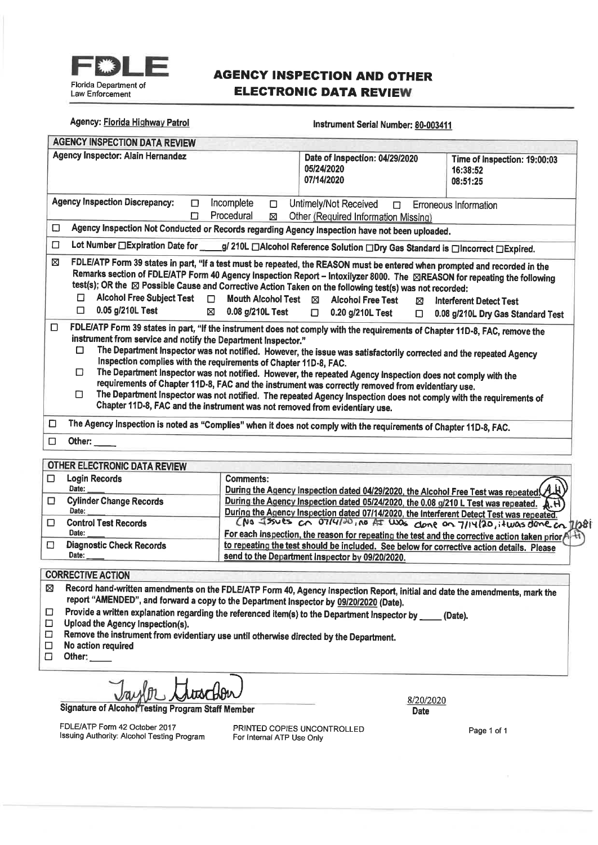

#### **AGENCY INSPECTION AND OTHER ELECTRONIC DATA REVIEW**

| Date of Inspection: 04/29/2020<br>05/24/2020<br>07/14/2020                                                                                                                                                                                                                                                                                                                                                                                                                                                                                                                                                      | Time of Inspection: 19:00:03<br>16:38:52<br>08:51:25                                                                                                                                                                                                                                                                                 |
|-----------------------------------------------------------------------------------------------------------------------------------------------------------------------------------------------------------------------------------------------------------------------------------------------------------------------------------------------------------------------------------------------------------------------------------------------------------------------------------------------------------------------------------------------------------------------------------------------------------------|--------------------------------------------------------------------------------------------------------------------------------------------------------------------------------------------------------------------------------------------------------------------------------------------------------------------------------------|
| Incomplete<br>Untimely/Not Received<br>$\Box$<br>$\Box$<br>Procedural<br>Other (Required Information Missing)<br>⊠                                                                                                                                                                                                                                                                                                                                                                                                                                                                                              | <b>Erroneous Information</b>                                                                                                                                                                                                                                                                                                         |
|                                                                                                                                                                                                                                                                                                                                                                                                                                                                                                                                                                                                                 |                                                                                                                                                                                                                                                                                                                                      |
| Lot Number □ Expiration Date for ____g/ 210L □ Alcohol Reference Solution □ Dry Gas Standard is □ Incorrect □ Expired.                                                                                                                                                                                                                                                                                                                                                                                                                                                                                          |                                                                                                                                                                                                                                                                                                                                      |
| Remarks section of FDLE/ATP Form 40 Agency Inspection Report - Intoxilyzer 8000. The ⊠REASON for repeating the following<br>test(s); OR the X Possible Cause and Corrective Action Taken on the following test(s) was not recorded:<br>Alcohol Free Subject Test D<br><b>Mouth Alcohol Test</b><br>$\boxtimes$ Alcohol Free Test<br>⊠<br>$\boxtimes$ 0.08 g/210L Test<br>$\Box$ 0.20 g/210L Test<br>$\Box$<br>FDLE/ATP Form 39 states in part, "If the instrument does not comply with the requirements of Chapter 11D-8, FAC, remove the                                                                       | Interferent Detect Test<br>0.08 g/210L Dry Gas Standard Test                                                                                                                                                                                                                                                                         |
| The Department Inspector was not notified. However, the issue was satisfactorily corrected and the repeated Agency<br>Inspection complies with the requirements of Chapter 11D-8, FAC.<br>The Department Inspector was not notified. However, the repeated Agency Inspection does not comply with the<br>requirements of Chapter 11D-8, FAC and the instrument was correctly removed from evidentiary use.<br>The Department Inspector was not notified. The repeated Agency Inspection does not comply with the requirements of<br>Chapter 11D-8, FAC and the instrument was not removed from evidentiary use. |                                                                                                                                                                                                                                                                                                                                      |
| The Agency Inspection is noted as "Complies" when it does not comply with the requirements of Chapter 11D-8, FAC.                                                                                                                                                                                                                                                                                                                                                                                                                                                                                               |                                                                                                                                                                                                                                                                                                                                      |
|                                                                                                                                                                                                                                                                                                                                                                                                                                                                                                                                                                                                                 |                                                                                                                                                                                                                                                                                                                                      |
|                                                                                                                                                                                                                                                                                                                                                                                                                                                                                                                                                                                                                 |                                                                                                                                                                                                                                                                                                                                      |
| <b>Comments:</b><br>During the Agency Inspection dated 04/29/2020, the Alcohol Free Test was repeated.                                                                                                                                                                                                                                                                                                                                                                                                                                                                                                          |                                                                                                                                                                                                                                                                                                                                      |
|                                                                                                                                                                                                                                                                                                                                                                                                                                                                                                                                                                                                                 | Instrument Serial Number: 80-003411<br>Agency Inspection Not Conducted or Records regarding Agency Inspection have not been uploaded.<br>FDLE/ATP Form 39 states in part, "If a test must be repeated, the REASON must be entered when prompted and recorded in the<br>instrument from service and notify the Department Inspector." |

 $\Box$ **Cylinder Change Records** During the Agency Inspection dated 05/24/2020, the 0.08 g/210 L Test was repeated. During the Agency Inspection dated 07/14/2020, the Interferent Detect Test was repeated. Date:  $\Box$ **Control Test Records** 1281 Date: For each inspection, the reason for repeating the test and the corrective action taken prior н. **Diagnostic Check Records** to repeating the test should be included. See below for corrective action details. Please  $\Box$ send to the Department Inspector by 09/20/2020. Date:

#### **CORRECTIVE ACTION**

| $\omega$ Record hand-written amendments on the FDLE/ATP Form 40, Agency Inspection Report, initial and date the amendments, mark the |
|--------------------------------------------------------------------------------------------------------------------------------------|
| report "AMENDED", and forward a copy to the Department Inspector by <u>09/20/2020</u> (Date).                                        |
|                                                                                                                                      |

Provide a written explanation regarding the referenced item(s) to the Department Inspector by \_\_\_\_ (Date).  $\Box$ 

- $\Box$ Upload the Agency Inspection(s).
- Remove the instrument from evidentiary use until otherwise directed by the Department.  $\Box$
- $\Box$ No action required
- $\Box$ Other:

Signature of Alcohol Testing Program Staff Member

FDLE/ATP Form 42 October 2017 Issuing Authority: Alcohol Testing Program PRINTED COPIES UNCONTROLLED For Internal ATP Use Only

8/20/2020 **Date** 

Page 1 of 1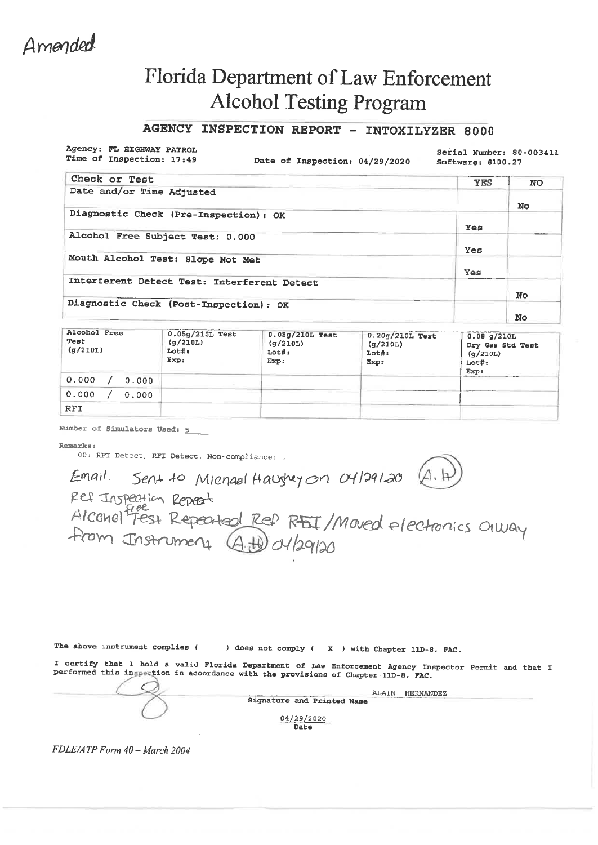### Amended

### **Florida Department of Law Enforcement Alcohol Testing Program**

#### AGENCY INSPECTION REPORT - INTOXILYZER 8000

Agency: FL HIGHWAY PATROL Time of Inspection: 17:49

Date of Inspection: 04/29/2020

Serial Number: 80-003411 Software: 8100.27

| Check or Test                               | <b>YES</b> | <b>NO</b> |
|---------------------------------------------|------------|-----------|
| Date and/or Time Adjusted                   |            |           |
|                                             |            | No.       |
| Diagnostic Check (Pre-Inspection): OK       |            |           |
|                                             | Yes        |           |
| Alcohol Free Subject Test: 0.000            |            |           |
|                                             | Yes        |           |
| Mouth Alcohol Test: Slope Not Met           |            |           |
|                                             | Yes        |           |
| Interferent Detect Test: Interferent Detect |            |           |
|                                             |            | No        |
| Diagnostic Check (Post-Inspection): OK      |            |           |
|                                             |            | No        |

| Alcohol Free<br>Test<br>(g/210L) | $0.05g/210L$ Test<br>(q/210L)<br>Lot#:<br>Exp: | $0.08g/210L$ Test<br>(g/210L)<br>$Lot#$ :<br>Exp: | 0.20g/210L Test<br>(g/210L)<br>$Lot#$ :<br>Exp: | $0.08$ g/210L<br>Dry Gas Std Test<br>(q/210L)<br>Lot#:<br>Exp: |
|----------------------------------|------------------------------------------------|---------------------------------------------------|-------------------------------------------------|----------------------------------------------------------------|
| 0.000<br>0.000                   |                                                |                                                   |                                                 |                                                                |
| 0.000<br>0.000                   |                                                |                                                   |                                                 |                                                                |
| <b>RFI</b>                       |                                                |                                                   |                                                 |                                                                |

Number of Simulators Used: 5

Remarks:

00: RFI Detect, RFI Detect. Non-compliance: .

Email. Sent to Micnael Haushey on 04/29/20 (A. H)<br>Ref Inspection Repeat<br>Alcohol Fest Repeated Ref RFIT/Maved electronics Olway

The above instrument complies (

) does not comply ( X ) with Chapter 11D-8, FAC.

I certify that I hold a valid Florida Department of Law Enforcement Agency Inspector Permit and that I performed this inspection in accordance with the provisions of Chapter 11D-8, FAC.

ALAIN HERNANDEZ Signature and Printed Name 04/29/2020

Date

FDLE/ATP Form 40 - March 2004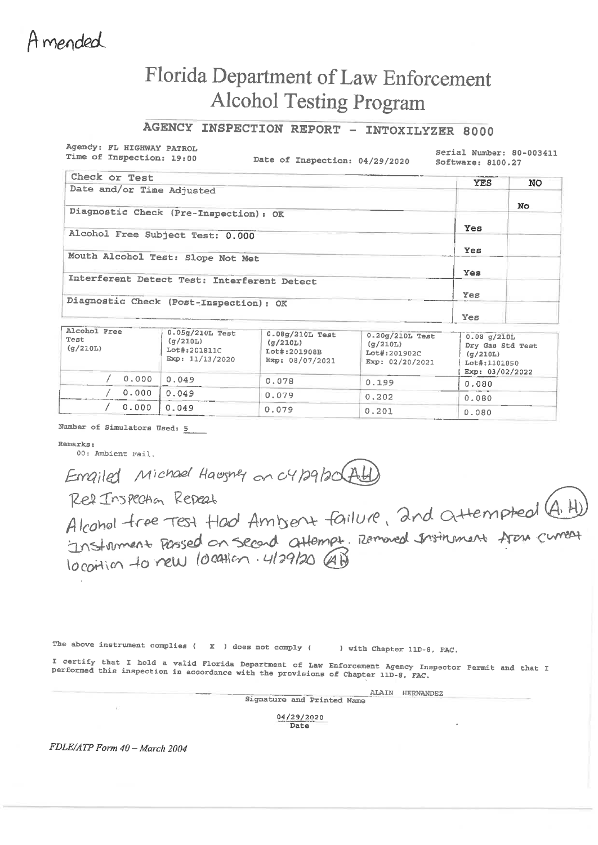Amended

## Florida Department of Law Enforcement **Alcohol Testing Program**

AGENCY INSPECTION REPORT - INTOXILYZER 8000

Agency: FL HIGHWAY PATROL Time of Inspection: 19:00

Date of Inspection: 04/29/2020

Serial Number: 80-003411 Software: 8100.27

| Check or Test                               | <b>YES</b> | <b>NO</b> |
|---------------------------------------------|------------|-----------|
| Date and/or Time Adjusted                   |            |           |
|                                             |            | No.       |
| Diagnostic Check (Pre-Inspection): OK       |            |           |
|                                             | Yes        |           |
| Alcohol Free Subject Test: 0.000            |            |           |
| Mouth Alcohol Test: Slope Not Met           | Yes        |           |
|                                             |            |           |
| Interferent Detect Test: Interferent Detect | Yes        |           |
|                                             |            |           |
| Diagnostic Check (Post-Inspection): OK      | Yes        |           |
|                                             |            |           |
|                                             | Yes        |           |

| Alcohol Free<br>Test<br>(g/210L) | 0.05g/210L Test<br>(q/210L)<br>Lot#:201811C<br>Exp: $11/13/2020$ | 0.08g/210L Test<br>(q/210L)<br>Lot#:201908B<br>Exp: 08/07/2021 | 0.20g/210L Test<br>(q/210L)<br>Lot#:201902C<br>Exp: 02/20/2021 | 0.08 q/210L<br>Dry Gas Std Test<br>(q/210L)<br>Lot#:1101850<br>Exp: 03/02/2022 |  |
|----------------------------------|------------------------------------------------------------------|----------------------------------------------------------------|----------------------------------------------------------------|--------------------------------------------------------------------------------|--|
| 0.000                            | 0.049                                                            | 0.078                                                          | 0.199                                                          | 0.080                                                                          |  |
| 0.000                            | 0.049                                                            | 0.079                                                          | 0.202                                                          | 0.080                                                                          |  |
| 0.000                            | 0.049                                                            | 0.079                                                          | 0.201                                                          | 0.080                                                                          |  |

Number of Simulators Used: 5

Remarks:

00: Ambient Fail.

Emailed Michael Hawsner on 04/29/20 Ad

Ref Inspection Repeat Alcohol tree Test Hool Ambient failure, and attempted (A. H) Instrument Passed on second attempt. Remaned Instrument from current locotion to new location. 4/29/20 AB

The above instrument complies ( $X$ ) does not comply ( ) with Chapter 11D-8, FAC.

I certify that I hold a valid Florida Department of Law Enforcement Agency Inspector Permit and that I performed this inspection in accordance with the provisions of Chapter 11D-8, FAC.

> ALAIN HERNANDEZ Signature and Printed Name

> > 04/29/2020 Date

FDLE/ATP Form 40 - March 2004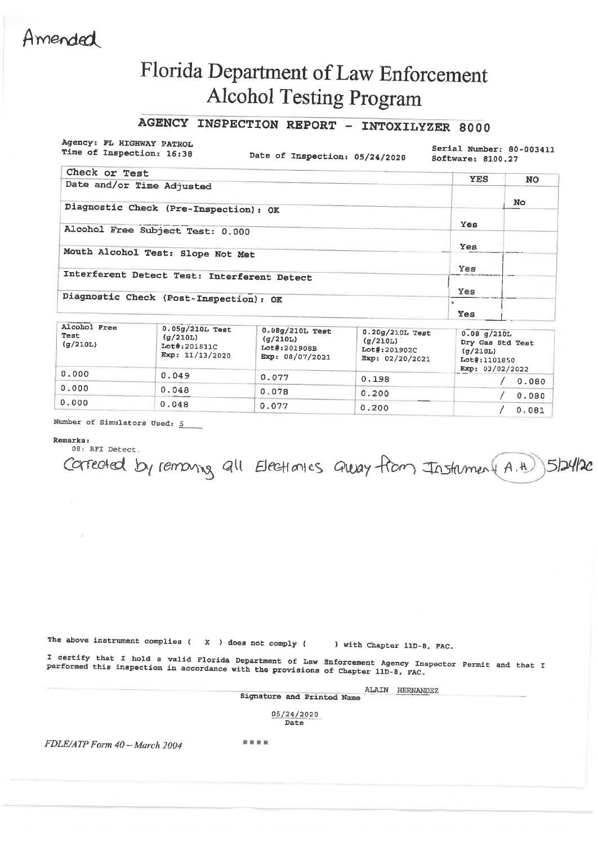### Amended

# Florida Department of Law Enforcement Alcohol Testing Program

### AGENCY INSPECTION REPORT - INTOXILYZER 8000

Agency: FL HIGHWAY PATROL Time of Inspection: 16:38

Date of Inspection: 05/24/2020

Serial Number: 80-003411 Software: 8100.27

| Check or Test                               | <b>YES</b> | <b>NO</b> |
|---------------------------------------------|------------|-----------|
| Date and/or Time Adjusted                   |            |           |
|                                             |            | No        |
| Diagnostic Check (Pre-Inspection): OK       |            |           |
| Alcohol Free Subject Test: 0.000            | Yes        |           |
|                                             |            |           |
| Mouth Alcohol Test: Slope Not Met           | Yes        |           |
|                                             | Yes        |           |
| Interferent Detect Test: Interferent Detect |            |           |
|                                             | <b>Yes</b> |           |
| Diagnostic Check (Post-Inspection): OK      | ×.         |           |
|                                             | Yes        |           |

| Alconol Free<br>Test<br>(q/210L) | $0.05g/210L$ Test<br>(q/210L)<br>Lot#:201811C<br>Exp: 11/13/2020 | $0.08g/210L$ Test<br>(q/210L)<br>Lot#:201908B<br>Exp: 08/07/2021 | $0.20g/210L$ Test<br>(g/210L)<br>Lot#:201902C<br>Exp: 02/20/2021 | $0.08$ $q/210L$<br>Dry Gas Std Test<br>(q/210L)<br>Lot#:1101850<br>Exp: 03/02/2022 |
|----------------------------------|------------------------------------------------------------------|------------------------------------------------------------------|------------------------------------------------------------------|------------------------------------------------------------------------------------|
| 0.000                            | 0.049                                                            | 0.077                                                            | 0.198                                                            | 0.080                                                                              |
| 0.000                            | 0.048                                                            | 0.078                                                            | 0.200                                                            | 0.080                                                                              |
| 0.000                            | 0.048                                                            | 0.077                                                            | 0.200                                                            | 0,081                                                                              |

Number of Simulators Used: 5

Remarks:

08: RFI Detect. Corrected by remains all Electionics alway from Instament A.H ) 5/24/20

The above instrument complies  $\langle X \rangle$  does not comply  $\langle$ 

) with Chapter 11D-8, FAC.

I certify that I hold a valid Florida Department of Law Enforcement Agency Inspector Permit and that I performed this inspection in accordance with the provisions of Chapter 11D-8, FAC.

> ALAIN HERNANDEZ Signature and Printed Name

> > 05/24/2020 Date

FDLE/ATP Form 40 - March 2004

....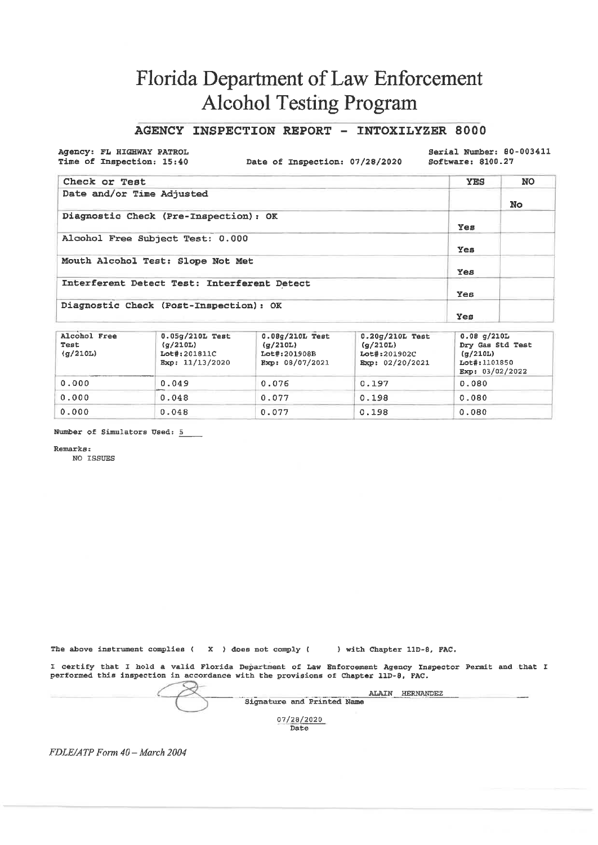### Florida Department of Law Enforcement **Alcohol Testing Program**

#### AGENCY INSPECTION REPORT - INTOXILYZER 8000

Agency: FL HIGHWAY PATROL Time of Inspection: 15:40

Date of Inspection: 07/28/2020

Serial Number: 80-003411 Software: 8100.27

| Check or Test                               | <b>YES</b> | <b>NO</b> |
|---------------------------------------------|------------|-----------|
| Date and/or Time Adjusted                   |            | No.       |
| Diagnostic Check (Pre-Inspection): OK       | Yes        |           |
| Alcohol Free Subject Test: 0.000            | Yes        |           |
| Mouth Alcohol Test: Slope Not Met           | Yes        |           |
| Interferent Detect Test: Interferent Detect | <b>Yes</b> |           |
| Diagnostic Check (Post-Inspection): OK      | Yes        |           |

| Alcohol Free<br>Test<br>(q/210L) | $0.05q/210L$ Test<br>(g/210L)<br>Lot#:201811C<br>Exp: 11/13/2020 | $0.08q/210L$ Test<br>(g/210L)<br>Lot#:201908B<br>Exp: 08/07/2021 | $0.20q/210L$ Test<br>(q/210L)<br>Lot#:201902C<br>Exp: 02/20/2021 | $0.08$ q/210L<br>Dry Gas Std Test<br>(q/210L)<br>Lot#:1101850<br>Exp: $03/02/2022$ |
|----------------------------------|------------------------------------------------------------------|------------------------------------------------------------------|------------------------------------------------------------------|------------------------------------------------------------------------------------|
| 0.000                            | 0.049                                                            | 0.076                                                            | 0.197                                                            | 0.080                                                                              |
| 0.000                            | 0.048                                                            | 0.077                                                            | 0.198                                                            | 0.080                                                                              |
| 0.000                            | 0.048                                                            | 0.077                                                            | 0.198                                                            | 0.080                                                                              |

Number of Simulators Used: 5

Remarks:

NO ISSUES

The above instrument complies  $(X)$  does not comply  $($ ) with Chapter 11D-8, FAC.

I certify that I hold a valid Florida Department of Law Enforcement Agency Inspector Permit and that I performed this inspection in accordance with the provisions of Chapter 11D-8, PAC.

ALAIN HERNANDEZ Signature and Printed Name 07/28/2020

Date

FDLE/ATP Form 40 - March 2004